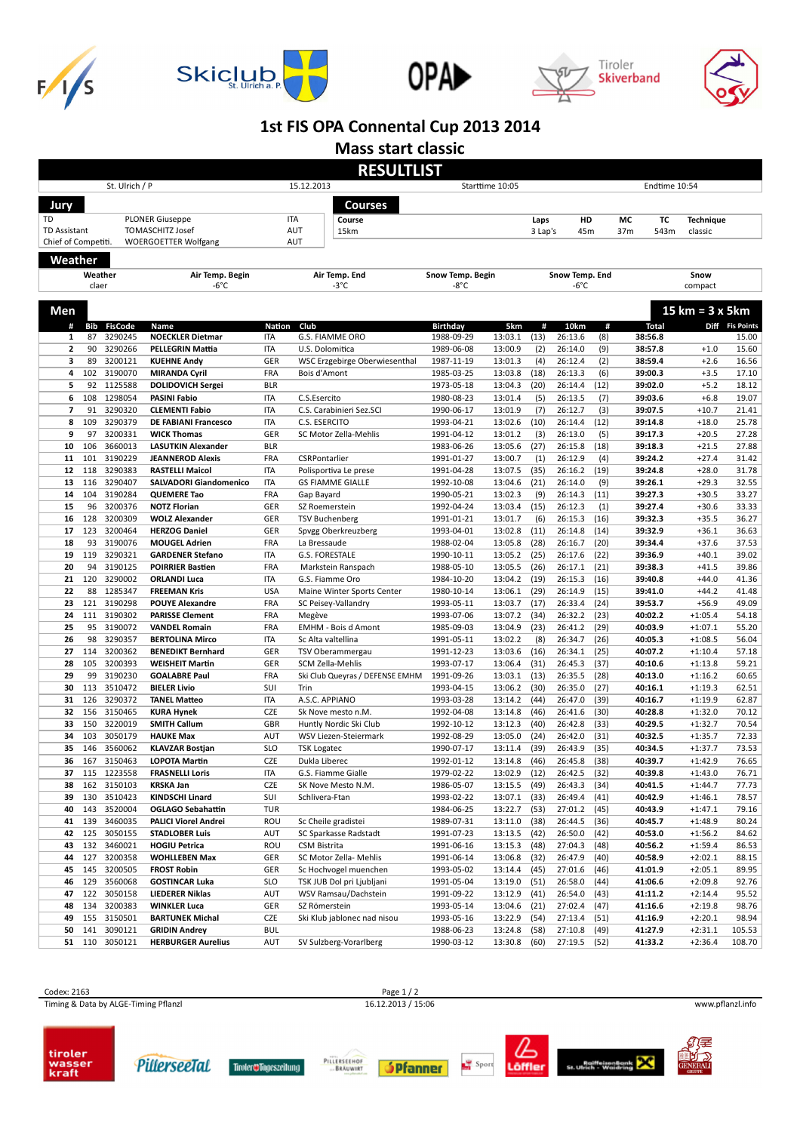









## **1st FIS OPA Connental Cup 2013 2014**

**Mass start classic**

|                     | <b>RESULTLIST</b> |                               |                                               |                               |                                              |                          |                    |              |                    |              |                    |              |                        |                          |
|---------------------|-------------------|-------------------------------|-----------------------------------------------|-------------------------------|----------------------------------------------|--------------------------|--------------------|--------------|--------------------|--------------|--------------------|--------------|------------------------|--------------------------|
| St. Ulrich / P      |                   |                               |                                               | 15.12.2013<br>Starttime 10:05 |                                              |                          |                    |              | Endtime 10:54      |              |                    |              |                        |                          |
| Jury                |                   |                               |                                               |                               | Courses                                      |                          |                    |              |                    |              |                    |              |                        |                          |
| TD                  |                   |                               | <b>PLONER Giuseppe</b>                        |                               | <b>ITA</b><br>Course                         |                          |                    | Laps         | HD                 |              | МC                 | TC           | <b>Technique</b>       |                          |
| <b>TD Assistant</b> |                   |                               | <b>TOMASCHITZ Josef</b>                       |                               | AUT<br>15km                                  |                          |                    | 3 Lap's      | 45m                |              | 37m                | 543m         | classic                |                          |
| Chief of Competiti. |                   |                               | <b>WOERGOETTER Wolfgang</b>                   |                               | AUT                                          |                          |                    |              |                    |              |                    |              |                        |                          |
|                     |                   |                               |                                               |                               |                                              |                          |                    |              |                    |              |                    |              |                        |                          |
| Weather             |                   |                               |                                               |                               |                                              |                          |                    |              |                    |              |                    |              |                        |                          |
|                     |                   | Weather                       | Air Temp. Begin                               | Air Temp. End                 |                                              | Snow Temp. Begin<br>-8°C |                    |              | Snow Temp. End     |              |                    | Snow         |                        |                          |
|                     | claer             |                               | -6°C                                          |                               | $-3^{\circ}$ C                               |                          |                    |              | -6°C               |              |                    |              | compact                |                          |
| Men                 |                   |                               |                                               |                               |                                              |                          |                    |              |                    |              |                    |              | 15 km = 3 x 5 km       |                          |
| #                   |                   |                               |                                               |                               | Club                                         | <b>Birthday</b>          | 5km                | #            |                    |              |                    |              |                        |                          |
| 1                   | 87                | <b>Bib FisCode</b><br>3290245 | Name<br><b>NOECKLER Dietmar</b>               | Nation<br><b>ITA</b>          | G.S. FIAMME ORO                              | 1988-09-29               | 13:03.1            | (13)         | 10km<br>26:13.6    | #<br>(8)     | 38:56.8            | <b>Total</b> |                        | Diff Fis Points<br>15.00 |
| $\overline{2}$      | 90                | 3290266                       | <b>PELLEGRIN Mattia</b>                       | <b>ITA</b>                    | U.S. Dolomitica                              | 1989-06-08               | 13:00.9            | (2)          | 26:14.0            | (9)          | 38:57.8            |              | $+1.0$                 | 15.60                    |
| 3                   | 89                | 3200121                       | <b>KUEHNE Andy</b>                            | GER                           | WSC Erzgebirge Oberwiesenthal                | 1987-11-19               | 13:01.3            | (4)          | 26:12.4            | (2)          | 38:59.4            |              | $+2.6$                 | 16.56                    |
| 4                   | 102               | 3190070                       | <b>MIRANDA Cyril</b>                          | FRA                           | Bois d'Amont                                 | 1985-03-25               | 13:03.8            | (18)         | 26:13.3            | (6)          | 39:00.3            |              | $+3.5$                 | 17.10                    |
| 5                   | 92                | 1125588                       | <b>DOLIDOVICH Sergei</b>                      | <b>BLR</b>                    |                                              | 1973-05-18               | 13:04.3            | (20)         | 26:14.4            | (12)         | 39:02.0            |              | $+5.2$                 | 18.12                    |
| 6                   | 108               | 1298054                       | <b>PASINI Fabio</b>                           | <b>ITA</b>                    | C.S.Esercito                                 | 1980-08-23               | 13:01.4            | (5)          | 26:13.5            | (7)          | 39:03.6            |              | $+6.8$                 | 19.07                    |
| $\overline{7}$      | 91                | 3290320                       | <b>CLEMENTI Fabio</b>                         | <b>ITA</b>                    | C.S. Carabinieri Sez.SCI                     | 1990-06-17               | 13:01.9            | (7)          | 26:12.7            | (3)          | 39:07.5            |              | $+10.7$                | 21.41                    |
| 8                   | 109               | 3290379                       | <b>DE FABIANI Francesco</b>                   | <b>ITA</b>                    | C.S. ESERCITO                                | 1993-04-21               | 13:02.6            | (10)         | 26:14.4            | (12)         | 39:14.8            |              | $+18.0$                | 25.78                    |
| 9                   | 97                | 3200331                       | <b>WICK Thomas</b>                            | GER                           | SC Motor Zella-Mehlis                        | 1991-04-12               | 13:01.2            | (3)          | 26:13.0            | (5)          | 39:17.3            |              | $+20.5$                | 27.28                    |
| 10                  | 106               | 3660013                       | <b>LASUTKIN Alexander</b>                     | <b>BLR</b>                    |                                              | 1983-06-26               | 13:05.6            | (27)         | 26:15.8            | (18)         | 39:18.3            |              | $+21.5$                | 27.88                    |
| 11                  | 101               | 3190229                       | <b>JEANNEROD Alexis</b>                       | FRA                           | CSRPontarlier                                | 1991-01-27               | 13:00.7            | (1)          | 26:12.9            | (4)          | 39:24.2            |              | $+27.4$                | 31.42                    |
| 12                  | 118               | 3290383                       | <b>RASTELLI Maicol</b>                        | <b>ITA</b>                    | Polisportiva Le prese                        | 1991-04-28               | 13:07.5            | (35)         | 26:16.2            | (19)         | 39:24.8            |              | $+28.0$                | 31.78                    |
| 13                  | 116               | 3290407<br>3190284            | <b>SALVADORI Giandomenico</b>                 | <b>ITA</b>                    | <b>GS FIAMME GIALLE</b>                      | 1992-10-08               | 13:04.6            | (21)         | 26:14.0            | (9)          | 39:26.1            |              | $+29.3$                | 32.55                    |
| 14<br>15            | 104<br>96         | 3200376                       | <b>QUEMERE Tao</b>                            | FRA<br>GER                    | Gap Bayard                                   | 1990-05-21               | 13:02.3            | (9)<br>(15)  | 26:14.3<br>26:12.3 | (11)         | 39:27.3<br>39:27.4 |              | $+30.5$                | 33.27                    |
| 16                  | 128               | 3200309                       | <b>NOTZ Florian</b><br><b>WOLZ Alexander</b>  | GER                           | SZ Roemerstein<br><b>TSV Buchenberg</b>      | 1992-04-24<br>1991-01-21 | 13:03.4<br>13:01.7 | (6)          | 26:15.3            | (1)<br>(16)  | 39:32.3            |              | $+30.6$<br>$+35.5$     | 33.33<br>36.27           |
| 17                  | 123               | 3200464                       | <b>HERZOG Daniel</b>                          | GER                           | Spvgg Oberkreuzberg                          | 1993-04-01               | 13:02.8            | (11)         | 26:14.8            | (14)         | 39:32.9            |              | $+36.1$                | 36.63                    |
| 18                  | 93                | 3190076                       | <b>MOUGEL Adrien</b>                          | FRA                           | La Bressaude                                 | 1988-02-04               | 13:05.8            | (28)         | 26:16.7            | (20)         | 39:34.4            |              | $+37.6$                | 37.53                    |
| 19                  | 119               | 3290321                       | <b>GARDENER Stefano</b>                       | <b>ITA</b>                    | G.S. FORESTALE                               | 1990-10-11               | 13:05.2            | (25)         | 26:17.6            | (22)         | 39:36.9            |              | $+40.1$                | 39.02                    |
| 20                  | 94                | 3190125                       | <b>POIRRIER Bastien</b>                       | FRA                           | Markstein Ranspach                           | 1988-05-10               | 13:05.5            | (26)         | 26:17.1            | (21)         | 39:38.3            |              | $+41.5$                | 39.86                    |
| 21                  | 120               | 3290002                       | <b>ORLANDI Luca</b>                           | <b>ITA</b>                    | G.S. Fiamme Oro                              | 1984-10-20               | 13:04.2            | (19)         | 26:15.3            | (16)         | 39:40.8            |              | $+44.0$                | 41.36                    |
| 22                  | 88                | 1285347                       | <b>FREEMAN Kris</b>                           | <b>USA</b>                    | Maine Winter Sports Center                   | 1980-10-14               | 13:06.1            | (29)         | 26:14.9            | (15)         | 39:41.0            |              | $+44.2$                | 41.48                    |
| 23                  | 121               | 3190298                       | <b>POUYE Alexandre</b>                        | FRA                           | SC Peisey-Vallandry                          | 1993-05-11               | 13:03.7            | (17)         | 26:33.4            | (24)         | 39:53.7            |              | $+56.9$                | 49.09                    |
| 24                  | 111               | 3190302                       | <b>PARISSE Clement</b>                        | FRA                           | Megève                                       | 1993-07-06               | 13:07.2            | (34)         | 26:32.2            | (23)         | 40:02.2            |              | $+1:05.4$              | 54.18                    |
| 25                  | 95                | 3190072                       | <b>VANDEL Romain</b>                          | FRA                           | <b>EMHM - Bois d Amont</b>                   | 1985-09-03               | 13:04.9            | (23)         | 26:41.2            | (29)         | 40:03.9            |              | $+1:07.1$              | 55.20                    |
| 26                  | 98                | 3290357                       | <b>BERTOLINA Mirco</b>                        | <b>ITA</b>                    | Sc Alta valtellina                           | 1991-05-11               | 13:02.2            | (8)          | 26:34.7            | (26)         | 40:05.3            |              | $+1:08.5$              | 56.04                    |
| 27                  | 114               | 3200362                       | <b>BENEDIKT Bernhard</b>                      | GER                           | TSV Oberammergau                             | 1991-12-23               | 13:03.6            | (16)         | 26:34.1            | (25)         | 40:07.2            |              | $+1:10.4$              | 57.18                    |
| 28                  | 105               | 3200393                       | <b>WEISHEIT Martin</b>                        | GER                           | SCM Zella-Mehlis                             | 1993-07-17               | 13:06.4            | (31)         | 26:45.3            | (37)         | 40:10.6            |              | $+1:13.8$              | 59.21                    |
| 29                  | 99                | 3190230                       | <b>GOALABRE Paul</b>                          | FRA                           | Ski Club Queyras / DEFENSE EMHM              | 1991-09-26               | 13:03.1            | (13)         | 26:35.5            | (28)         | 40:13.0            |              | $+1:16.2$              | 60.65                    |
| 30                  | 113               | 3510472                       | <b>BIELER Livio</b>                           | SUI                           | Trin                                         | 1993-04-15               | 13:06.2            | (30)         | 26:35.0            | (27)         | 40:16.1            |              | $+1:19.3$              | 62.51                    |
| 31                  | 126<br>156        | 3290372                       | <b>TANEL Matteo</b>                           | <b>ITA</b><br>CZE             | A.S.C. APPIANO                               | 1993-03-28               | 13:14.2            | (44)         | 26:47.0            | (39)         | 40:16.7            |              | $+1:19.9$              | 62.87                    |
| 32<br>33            | 150               | 3150465<br>3220019            | <b>KURA Hynek</b><br><b>SMITH Callum</b>      | GBR                           | Sk Nove mesto n.M.<br>Huntly Nordic Ski Club | 1992-04-08<br>1992-10-12 | 13:14.8<br>13:12.3 | (46)<br>(40) | 26:41.6<br>26:42.8 | (30)<br>(33) | 40:28.8<br>40:29.5 |              | $+1:32.0$<br>$+1:32.7$ | 70.12<br>70.54           |
| 34                  | 103               | 3050179                       | <b>HAUKE Max</b>                              | AUT                           | WSV Liezen-Steiermark                        | 1992-08-29               | 13:05.0            | (24)         | 26:42.0            | (31)         | 40:32.5            |              | $+1:35.7$              | 72.33                    |
| 35                  | 146               | 3560062                       | <b>KLAVZAR Bostjan</b>                        | <b>SLO</b>                    | <b>TSK Logatec</b>                           | 1990-07-17               | 13:11.4            | (39)         | 26:43.9            | (35)         | 40:34.5            |              | $+1:37.7$              | 73.53                    |
| 36                  | 167               | 3150463                       | <b>LOPOTA Martin</b>                          | <b>CZE</b>                    | Dukla Liberec                                | 1992-01-12               | 13:14.8            | (46)         | 26:45.8            | (38)         | 40:39.7            |              | $+1:42.9$              | 76.65                    |
| 37                  |                   | 115 1223558                   | <b>FRASNELLI Loris</b>                        | ITA                           | G.S. Fiamme Gialle                           | 1979-02-22               | 13:02.9            | (12)         | 26:42.5            | (32)         | 40:39.8            |              | $+1:43.0$              | 76.71                    |
| 38                  |                   | 162 3150103                   | <b>KRSKA Jan</b>                              | CZE                           | SK Nove Mesto N.M.                           | 1986-05-07               | 13:15.5            | (49)         | 26:43.3            | (34)         | 40:41.5            |              | $+1:44.7$              | 77.73                    |
| 39                  | 130               | 3510423                       | KINDSCHI Linard                               | SUI                           | Schlivera-Ftan                               | 1993-02-22               | 13:07.1            | (33)         | 26:49.4            | (41)         | 40:42.9            |              | $+1:46.1$              | 78.57                    |
| 40                  | 143               | 3520004                       | <b>OGLAGO Sebahattin</b>                      | TUR                           |                                              | 1984-06-25               | 13:22.7            | (53)         | 27:01.2            | (45)         | 40:43.9            |              | $+1:47.1$              | 79.16                    |
| 41                  | 139               | 3460035                       | <b>PALICI Viorel Andrei</b>                   | ROU                           | Sc Cheile gradistei                          | 1989-07-31               | 13:11.0            | (38)         | 26:44.5            | (36)         | 40:45.7            |              | $+1:48.9$              | 80.24                    |
| 42                  | 125               | 3050155                       | <b>STADLOBER Luis</b>                         | AUT                           | SC Sparkasse Radstadt                        | 1991-07-23               | 13:13.5            | (42)         | 26:50.0            | (42)         | 40:53.0            |              | $+1:56.2$              | 84.62                    |
| 43                  | 132               | 3460021                       | <b>HOGIU Petrica</b>                          | ROU                           | CSM Bistrita                                 | 1991-06-16               | 13:15.3            | (48)         | 27:04.3            | (48)         | 40:56.2            |              | $+1:59.4$              | 86.53                    |
| 44                  | 127               | 3200358                       | <b>WOHLLEBEN Max</b>                          | GER                           | SC Motor Zella- Mehlis                       | 1991-06-14               | 13:06.8            | (32)         | 26:47.9            | (40)         | 40:58.9            |              | $+2:02.1$              | 88.15                    |
| 45                  | 145               | 3200505                       | <b>FROST Robin</b>                            | GER                           | Sc Hochvogel muenchen                        | 1993-05-02               | 13:14.4            | (45)         | 27:01.6            | (46)         | 41:01.9            |              | $+2:05.1$              | 89.95                    |
| 46                  | 129               | 3560068                       | <b>GOSTINCAR Luka</b>                         | <b>SLO</b>                    | TSK JUB Dol pri Ljubljani                    | 1991-05-04               | 13:19.0            | (51)         | 26:58.0            | (44)         | 41:06.6            |              | $+2:09.8$              | 92.76                    |
| 47                  | 122               | 3050158                       | <b>LIEDERER Niklas</b>                        | AUT                           | WSV Ramsau/Dachstein                         | 1991-09-22               | 13:12.9            | (41)         | 26:54.0            | (43)         | 41:11.2            |              | $+2:14.4$              | 95.52                    |
| 48<br>49            | 134<br>155        | 3200383<br>3150501            | <b>WINKLER Luca</b><br><b>BARTUNEK Michal</b> | GER<br>CZE                    | SZ Römerstein<br>Ski Klub jablonec nad nisou | 1993-05-14<br>1993-05-16 | 13:04.6<br>13:22.9 | (21)<br>(54) | 27:02.4<br>27:13.4 | (47)<br>(51) | 41:16.6<br>41:16.9 |              | $+2:19.8$              | 98.76<br>98.94           |
| 50                  | 141               | 3090121                       | <b>GRIDIN Andrey</b>                          | <b>BUL</b>                    |                                              | 1988-06-23               | 13:24.8            | (58)         | 27:10.8            | (49)         | 41:27.9            |              | $+2:20.1$<br>$+2:31.1$ | 105.53                   |
| 51                  | 110               | 3050121                       | <b>HERBURGER Aurelius</b>                     | AUT                           | SV Sulzberg-Vorarlberg                       | 1990-03-12               | 13:30.8            | (60)         | 27:19.5            | (52)         | 41:33.2            |              | $+2:36.4$              | 108.70                   |
|                     |                   |                               |                                               |                               |                                              |                          |                    |              |                    |              |                    |              |                        |                          |

Experiment of the USA of the USA of the USA of the USA of the USA of the USA of the USA of the USA of the USA of the USA of the USA of the USA of the USA of the USA of the USA of the USA of the USA of the USA of the USA of Timing & Data by ALGE-Timing Pflanzl 16.12.2013 / 15:06 www.pflanzl.info